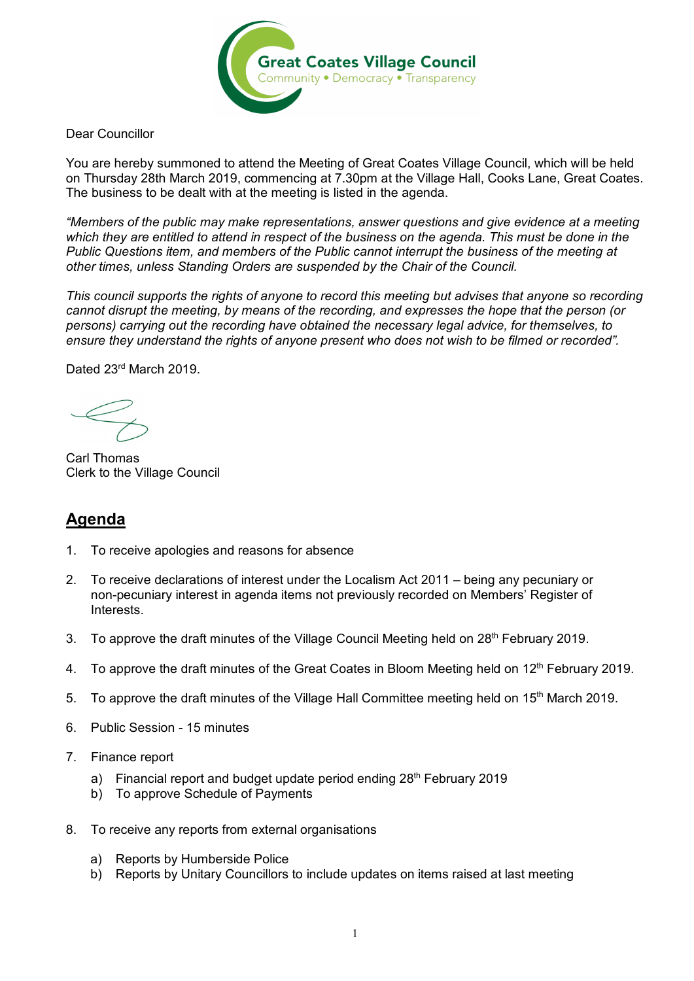

Dear Councillor

You are hereby summoned to attend the Meeting of Great Coates Village Council, which will be held on Thursday 28th March 2019, commencing at 7.30pm at the Village Hall, Cooks Lane, Great Coates. The business to be dealt with at the meeting is listed in the agenda.

*"Members of the public may make representations, answer questions and give evidence at a meeting which they are entitled to attend in respect of the business on the agenda. This must be done in the Public Questions item, and members of the Public cannot interrupt the business of the meeting at other times, unless Standing Orders are suspended by the Chair of the Council.* 

*This council supports the rights of anyone to record this meeting but advises that anyone so recording cannot disrupt the meeting, by means of the recording, and expresses the hope that the person (or persons) carrying out the recording have obtained the necessary legal advice, for themselves, to ensure they understand the rights of anyone present who does not wish to be filmed or recorded".*

Dated 23<sup>rd</sup> March 2019.

Carl Thomas Clerk to the Village Council

## **Agenda**

- 1. To receive apologies and reasons for absence
- 2. To receive declarations of interest under the Localism Act 2011 being any pecuniary or non-pecuniary interest in agenda items not previously recorded on Members' Register of Interests.
- 3. To approve the draft minutes of the Village Council Meeting held on 28<sup>th</sup> February 2019.
- 4. To approve the draft minutes of the Great Coates in Bloom Meeting held on 12<sup>th</sup> February 2019.
- 5. To approve the draft minutes of the Village Hall Committee meeting held on 15<sup>th</sup> March 2019.
- 6. Public Session 15 minutes
- 7. Finance report
	- a) Financial report and budget update period ending  $28<sup>th</sup>$  February 2019
	- b) To approve Schedule of Payments
- 8. To receive any reports from external organisations
	- a) Reports by Humberside Police
	- b) Reports by Unitary Councillors to include updates on items raised at last meeting